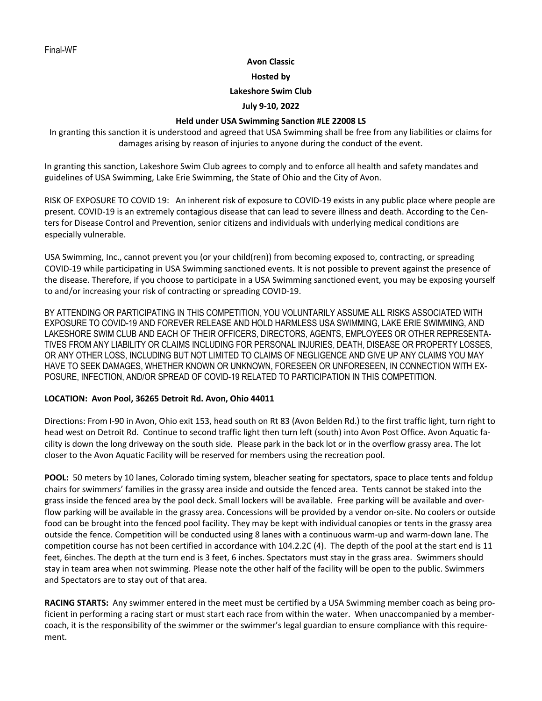### **Avon Classic**

**Hosted by**

### **Lakeshore Swim Club**

### **July 9-10, 2022**

## **Held under USA Swimming Sanction #LE 22008 LS**

In granting this sanction it is understood and agreed that USA Swimming shall be free from any liabilities or claims for damages arising by reason of injuries to anyone during the conduct of the event.

In granting this sanction, Lakeshore Swim Club agrees to comply and to enforce all health and safety mandates and guidelines of USA Swimming, Lake Erie Swimming, the State of Ohio and the City of Avon.

RISK OF EXPOSURE TO COVID 19: An inherent risk of exposure to COVID-19 exists in any public place where people are present. COVID-19 is an extremely contagious disease that can lead to severe illness and death. According to the Centers for Disease Control and Prevention, senior citizens and individuals with underlying medical conditions are especially vulnerable.

USA Swimming, Inc., cannot prevent you (or your child(ren)) from becoming exposed to, contracting, or spreading COVID-19 while participating in USA Swimming sanctioned events. It is not possible to prevent against the presence of the disease. Therefore, if you choose to participate in a USA Swimming sanctioned event, you may be exposing yourself to and/or increasing your risk of contracting or spreading COVID-19.

BY ATTENDING OR PARTICIPATING IN THIS COMPETITION, YOU VOLUNTARILY ASSUME ALL RISKS ASSOCIATED WITH EXPOSURE TO COVID-19 AND FOREVER RELEASE AND HOLD HARMLESS USA SWIMMING, LAKE ERIE SWIMMING, AND LAKESHORE SWIM CLUB AND EACH OF THEIR OFFICERS, DIRECTORS, AGENTS, EMPLOYEES OR OTHER REPRESENTA-TIVES FROM ANY LIABILITY OR CLAIMS INCLUDING FOR PERSONAL INJURIES, DEATH, DISEASE OR PROPERTY LOSSES, OR ANY OTHER LOSS, INCLUDING BUT NOT LIMITED TO CLAIMS OF NEGLIGENCE AND GIVE UP ANY CLAIMS YOU MAY HAVE TO SEEK DAMAGES, WHETHER KNOWN OR UNKNOWN, FORESEEN OR UNFORESEEN, IN CONNECTION WITH EX-POSURE, INFECTION, AND/OR SPREAD OF COVID-19 RELATED TO PARTICIPATION IN THIS COMPETITION.

### **LOCATION: Avon Pool, 36265 Detroit Rd. Avon, Ohio 44011**

Directions: From I-90 in Avon, Ohio exit 153, head south on Rt 83 (Avon Belden Rd.) to the first traffic light, turn right to head west on Detroit Rd. Continue to second traffic light then turn left (south) into Avon Post Office. Avon Aquatic facility is down the long driveway on the south side. Please park in the back lot or in the overflow grassy area. The lot closer to the Avon Aquatic Facility will be reserved for members using the recreation pool.

**POOL:** 50 meters by 10 lanes, Colorado timing system, bleacher seating for spectators, space to place tents and foldup chairs for swimmers' families in the grassy area inside and outside the fenced area. Tents cannot be staked into the grass inside the fenced area by the pool deck. Small lockers will be available. Free parking will be available and overflow parking will be available in the grassy area. Concessions will be provided by a vendor on-site. No coolers or outside food can be brought into the fenced pool facility. They may be kept with individual canopies or tents in the grassy area outside the fence. Competition will be conducted using 8 lanes with a continuous warm-up and warm-down lane. The competition course has not been certified in accordance with 104.2.2C (4). The depth of the pool at the start end is 11 feet, 6inches. The depth at the turn end is 3 feet, 6 inches. Spectators must stay in the grass area. Swimmers should stay in team area when not swimming. Please note the other half of the facility will be open to the public. Swimmers and Spectators are to stay out of that area.

**RACING STARTS:**Any swimmer entered in the meet must be certified by a USA Swimming member coach as being proficient in performing a racing start or must start each race from within the water. When unaccompanied by a membercoach, it is the responsibility of the swimmer or the swimmer's legal guardian to ensure compliance with this requirement.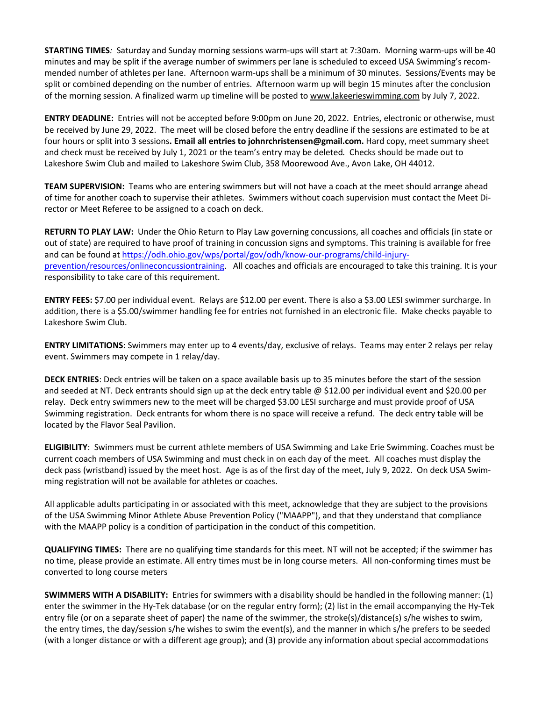**STARTING TIMES***:* Saturday and Sunday morning sessions warm-ups will start at 7:30am. Morning warm-ups will be 40 minutes and may be split if the average number of swimmers per lane is scheduled to exceed USA Swimming's recommended number of athletes per lane. Afternoon warm-ups shall be a minimum of 30 minutes. Sessions/Events may be split or combined depending on the number of entries. Afternoon warm up will begin 15 minutes after the conclusion of the morning session. A finalized warm up timeline will be posted to [www.lakeerieswimming.com](http://www.lakeerieswimming.com/) by July 7, 2022.

**ENTRY DEADLINE:** Entries will not be accepted before 9:00pm on June 20, 2022. Entries, electronic or otherwise, must be received by June 29, 2022. The meet will be closed before the entry deadline if the sessions are estimated to be at four hours or split into 3 sessions**. Email all entries to [johnrchristensen@gmail.com.](mailto:johnrchristensen@gmail.com)** Hard copy, meet summary sheet and check must be received by July 1, 2021 or the team's entry may be deleted*.* Checks should be made out to Lakeshore Swim Club and mailed to Lakeshore Swim Club, 358 Moorewood Ave., Avon Lake, OH 44012.

**TEAM SUPERVISION:** Teams who are entering swimmers but will not have a coach at the meet should arrange ahead of time for another coach to supervise their athletes. Swimmers without coach supervision must contact the Meet Director or Meet Referee to be assigned to a coach on deck.

**RETURN TO PLAY LAW:**Under the Ohio Return to Play Law governing concussions, all coaches and officials (in state or out of state) are required to have proof of training in concussion signs and symptoms. This training is available for free and can be found at [https://odh.ohio.gov/wps/portal/gov/odh/know-our-programs/child-injury](https://odh.ohio.gov/wps/portal/gov/odh/know-our-programs/child-injury-prevention/resources/onlineconcussiontraining)[prevention/resources/onlineconcussiontraining.](https://odh.ohio.gov/wps/portal/gov/odh/know-our-programs/child-injury-prevention/resources/onlineconcussiontraining) All coaches and officials are encouraged to take this training. It is your responsibility to take care of this requirement.

**ENTRY FEES:** \$7.00 per individual event. Relays are \$12.00 per event. There is also a \$3.00 LESI swimmer surcharge. In addition, there is a \$5.00/swimmer handling fee for entries not furnished in an electronic file. Make checks payable to Lakeshore Swim Club.

**ENTRY LIMITATIONS**: Swimmers may enter up to 4 events/day, exclusive of relays. Teams may enter 2 relays per relay event. Swimmers may compete in 1 relay/day.

**DECK ENTRIES**: Deck entries will be taken on a space available basis up to 35 minutes before the start of the session and seeded at NT. Deck entrants should sign up at the deck entry table @ \$12.00 per individual event and \$20.00 per relay. Deck entry swimmers new to the meet will be charged \$3.00 LESI surcharge and must provide proof of USA Swimming registration. Deck entrants for whom there is no space will receive a refund. The deck entry table will be located by the Flavor Seal Pavilion.

**ELIGIBILITY**: Swimmers must be current athlete members of USA Swimming and Lake Erie Swimming. Coaches must be current coach members of USA Swimming and must check in on each day of the meet. All coaches must display the deck pass (wristband) issued by the meet host. Age is as of the first day of the meet, July 9, 2022. On deck USA Swimming registration will not be available for athletes or coaches.

All applicable adults participating in or associated with this meet, acknowledge that they are subject to the provisions of the USA Swimming Minor Athlete Abuse Prevention Policy ("MAAPP"), and that they understand that compliance with the MAAPP policy is a condition of participation in the conduct of this competition.

**QUALIFYING TIMES:** There are no qualifying time standards for this meet. NT will not be accepted; if the swimmer has no time, please provide an estimate. All entry times must be in long course meters. All non-conforming times must be converted to long course meters

**SWIMMERS WITH A DISABILITY:** Entries for swimmers with a disability should be handled in the following manner: (1) enter the swimmer in the Hy-Tek database (or on the regular entry form); (2) list in the email accompanying the Hy-Tek entry file (or on a separate sheet of paper) the name of the swimmer, the stroke(s)/distance(s) s/he wishes to swim, the entry times, the day/session s/he wishes to swim the event(s), and the manner in which s/he prefers to be seeded (with a longer distance or with a different age group); and (3) provide any information about special accommodations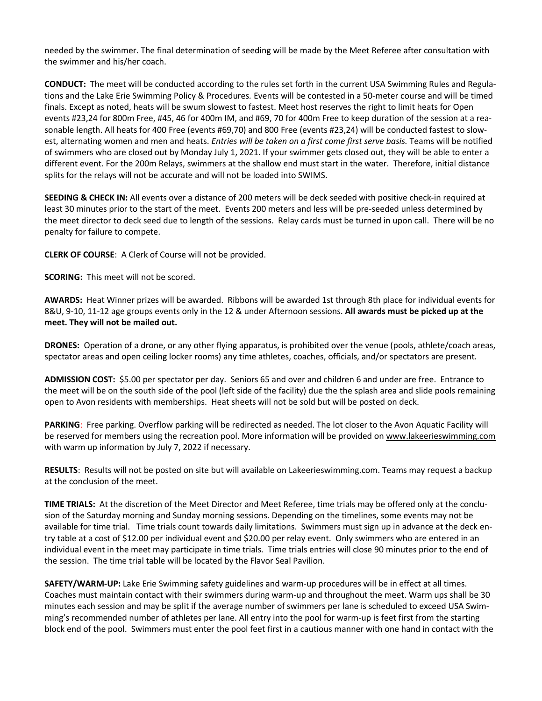needed by the swimmer. The final determination of seeding will be made by the Meet Referee after consultation with the swimmer and his/her coach.

**CONDUCT:** The meet will be conducted according to the rules set forth in the current USA Swimming Rules and Regulations and the Lake Erie Swimming Policy & Procedures*.* Events will be contested in a 50-meter course and will be timed finals. Except as noted, heats will be swum slowest to fastest. Meet host reserves the right to limit heats for Open events #23,24 for 800m Free, #45, 46 for 400m IM, and #69, 70 for 400m Free to keep duration of the session at a reasonable length. All heats for 400 Free (events #69,70) and 800 Free (events #23,24) will be conducted fastest to slowest, alternating women and men and heats. *Entries will be taken on a first come first serve basis.* Teams will be notified of swimmers who are closed out by Monday July 1, 2021. If your swimmer gets closed out, they will be able to enter a different event. For the 200m Relays, swimmers at the shallow end must start in the water. Therefore, initial distance splits for the relays will not be accurate and will not be loaded into SWIMS.

**SEEDING & CHECK IN:** All events over a distance of 200 meters will be deck seeded with positive check-in required at least 30 minutes prior to the start of the meet. Events 200 meters and less will be pre-seeded unless determined by the meet director to deck seed due to length of the sessions. Relay cards must be turned in upon call. There will be no penalty for failure to compete.

**CLERK OF COURSE**: A Clerk of Course will not be provided.

**SCORING:** This meet will not be scored.

**AWARDS:** Heat Winner prizes will be awarded. Ribbons will be awarded 1st through 8th place for individual events for 8&U, 9-10, 11-12 age groups events only in the 12 & under Afternoon sessions. **All awards must be picked up at the meet. They will not be mailed out.**

**DRONES:** Operation of a drone, or any other flying apparatus, is prohibited over the venue (pools, athlete/coach areas, spectator areas and open ceiling locker rooms) any time athletes, coaches, officials, and/or spectators are present.

**ADMISSION COST:** \$5.00 per spectator per day. Seniors 65 and over and children 6 and under are free. Entrance to the meet will be on the south side of the pool (left side of the facility) due the the splash area and slide pools remaining open to Avon residents with memberships. Heat sheets will not be sold but will be posted on deck.

**PARKING**: Free parking. Overflow parking will be redirected as needed. The lot closer to the Avon Aquatic Facility will be reserved for members using the recreation pool. More information will be provided on [www.lakeerieswimming.com](http://www.lakeerieswimming.com/) with warm up information by July 7, 2022 if necessary.

**RESULTS**: Results will not be posted on site but will available on Lakeerieswimming.com. Teams may request a backup at the conclusion of the meet.

**TIME TRIALS:** At the discretion of the Meet Director and Meet Referee, time trials may be offered only at the conclusion of the Saturday morning and Sunday morning sessions. Depending on the timelines, some events may not be available for time trial. Time trials count towards daily limitations. Swimmers must sign up in advance at the deck entry table at a cost of \$12.00 per individual event and \$20.00 per relay event. Only swimmers who are entered in an individual event in the meet may participate in time trials. Time trials entries will close 90 minutes prior to the end of the session. The time trial table will be located by the Flavor Seal Pavilion.

**SAFETY/WARM-UP:** Lake Erie Swimming safety guidelines and warm-up procedures will be in effect at all times. Coaches must maintain contact with their swimmers during warm-up and throughout the meet. Warm ups shall be 30 minutes each session and may be split if the average number of swimmers per lane is scheduled to exceed USA Swimming's recommended number of athletes per lane. All entry into the pool for warm-up is feet first from the starting block end of the pool. Swimmers must enter the pool feet first in a cautious manner with one hand in contact with the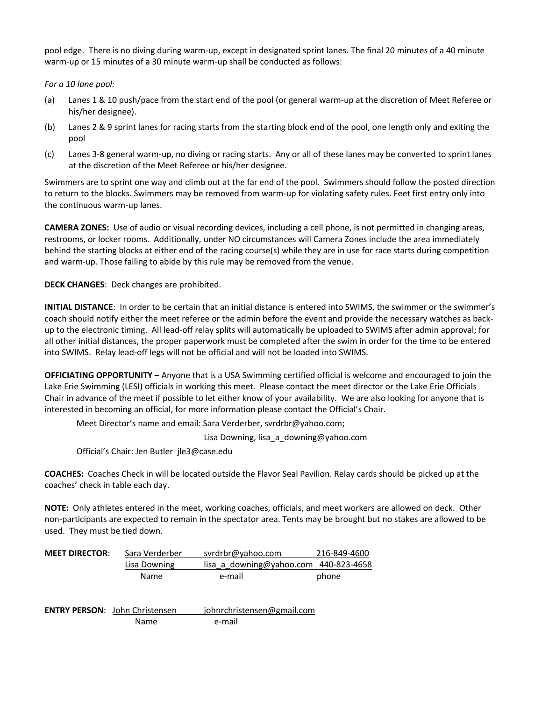pool edge. There is no diving during warm-up, except in designated sprint lanes. The final 20 minutes of a 40 minute warm-up or 15 minutes of a 30 minute warm-up shall be conducted as follows:

*For a 10 lane pool:*

- (a) Lanes 1 & 10 push/pace from the start end of the pool (or general warm-up at the discretion of Meet Referee or his/her designee).
- (b) Lanes 2 & 9 sprint lanes for racing starts from the starting block end of the pool, one length only and exiting the pool
- (c) Lanes 3-8 general warm-up, no diving or racing starts. Any or all of these lanes may be converted to sprint lanes at the discretion of the Meet Referee or his/her designee.

Swimmers are to sprint one way and climb out at the far end of the pool. Swimmers should follow the posted direction to return to the blocks. Swimmers may be removed from warm-up for violating safety rules. Feet first entry only into the continuous warm-up lanes.

**CAMERA ZONES:** Use of audio or visual recording devices, including a cell phone, is not permitted in changing areas, restrooms, or locker rooms. Additionally, under NO circumstances will Camera Zones include the area immediately behind the starting blocks at either end of the racing course(s) while they are in use for race starts during competition and warm-up. Those failing to abide by this rule may be removed from the venue.

**DECK CHANGES**: Deck changes are prohibited.

**INITIAL DISTANCE**: In order to be certain that an initial distance is entered into SWIMS, the swimmer or the swimmer's coach should notify either the meet referee or the admin before the event and provide the necessary watches as backup to the electronic timing. All lead-off relay splits will automatically be uploaded to SWIMS after admin approval; for all other initial distances, the proper paperwork must be completed after the swim in order for the time to be entered into SWIMS. Relay lead-off legs will not be official and will not be loaded into SWIMS.

**OFFICIATING OPPORTUNITY** – Anyone that is a USA Swimming certified official is welcome and encouraged to join the Lake Erie Swimming (LESI) officials in working this meet. Please contact the meet director or the Lake Erie Officials Chair in advance of the meet if possible to let either know of your availability. We are also looking for anyone that is interested in becoming an official, for more information please contact the Official's Chair.

Meet Director's name and email: Sara Verderber, svrdrbr@yahoo.com;

Lisa Downing, lisa a downing@yahoo.com

Official's Chair: Jen Butler jle3@case.edu

**COACHES:** Coaches Check in will be located outside the Flavor Seal Pavilion. Relay cards should be picked up at the coaches' check in table each day.

**NOTE:** Only athletes entered in the meet, working coaches, officials, and meet workers are allowed on deck. Other non-participants are expected to remain in the spectator area. Tents may be brought but no stakes are allowed to be used. They must be tied down.

| <b>MEET DIRECTOR:</b> | Sara Verderber                        | svrdrbr@yahoo.com          | 216-849-4600 |
|-----------------------|---------------------------------------|----------------------------|--------------|
|                       | Lisa Downing                          | lisa a downing@yahoo.com   | 440-823-4658 |
|                       | Name                                  | e-mail                     | phone        |
|                       |                                       |                            |              |
|                       | <b>ENTRY PERSON:</b> John Christensen | johnrchristensen@gmail.com |              |
|                       | Name                                  | e-mail                     |              |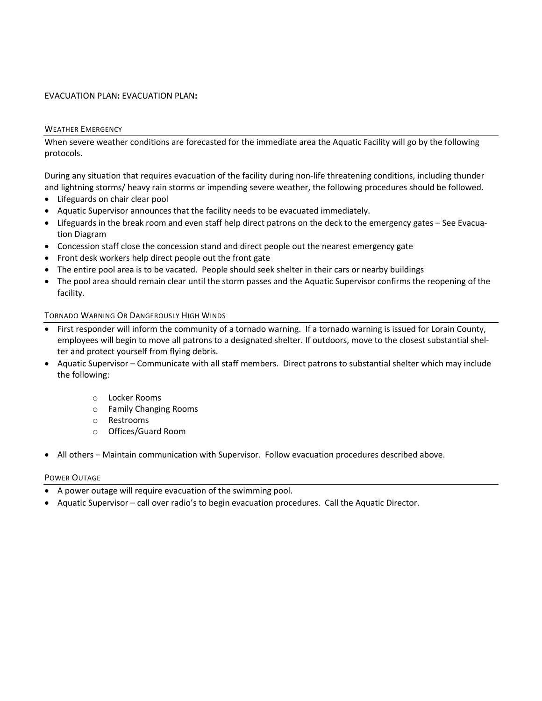### EVACUATION PLAN**:** EVACUATION PLAN**:**

### WEATHER EMERGENCY

When severe weather conditions are forecasted for the immediate area the Aquatic Facility will go by the following protocols.

During any situation that requires evacuation of the facility during non-life threatening conditions, including thunder and lightning storms/ heavy rain storms or impending severe weather, the following procedures should be followed.

- Lifeguards on chair clear pool
- Aquatic Supervisor announces that the facility needs to be evacuated immediately.
- Lifeguards in the break room and even staff help direct patrons on the deck to the emergency gates See Evacuation Diagram
- Concession staff close the concession stand and direct people out the nearest emergency gate
- Front desk workers help direct people out the front gate
- The entire pool area is to be vacated. People should seek shelter in their cars or nearby buildings
- The pool area should remain clear until the storm passes and the Aquatic Supervisor confirms the reopening of the facility.

## TORNADO WARNING OR DANGEROUSLY HIGH WINDS

- First responder will inform the community of a tornado warning. If a tornado warning is issued for Lorain County, employees will begin to move all patrons to a designated shelter. If outdoors, move to the closest substantial shelter and protect yourself from flying debris.
- Aquatic Supervisor Communicate with all staff members. Direct patrons to substantial shelter which may include the following:
	- o Locker Rooms
	- o Family Changing Rooms
	- o Restrooms
	- o Offices/Guard Room
- All others Maintain communication with Supervisor. Follow evacuation procedures described above.

### POWER OUTAGE

- A power outage will require evacuation of the swimming pool.
- Aquatic Supervisor call over radio's to begin evacuation procedures. Call the Aquatic Director.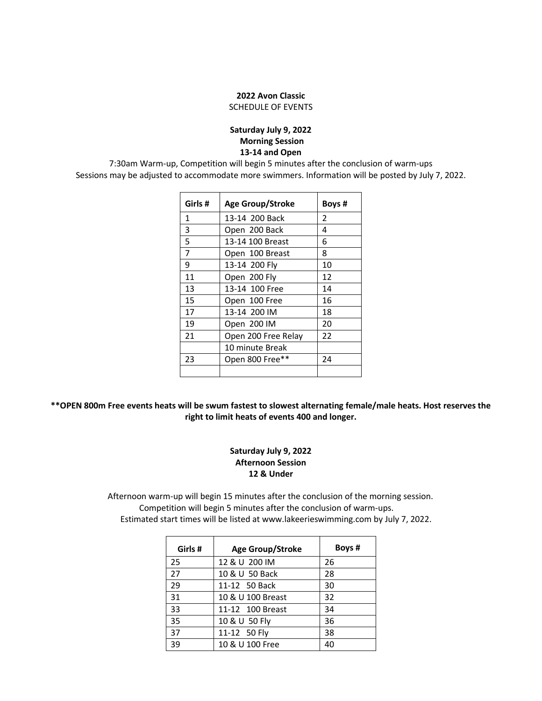# **Avon Classic** SCHEDULE OF EVENTS

## **Saturday July 9, 2022 Morning Session 13-14 and Open**

7:30am Warm-up, Competition will begin 5 minutes after the conclusion of warm-ups Sessions may be adjusted to accommodate more swimmers. Information will be posted by July 7, 2022.

| Girls # | <b>Age Group/Stroke</b> | Boys # |
|---------|-------------------------|--------|
| 1       | 13-14 200 Back          | 2      |
| 3       | Open 200 Back           | 4      |
| 5       | 13-14 100 Breast        | 6      |
| 7       | Open 100 Breast         | 8      |
| 9       | 13-14 200 Fly           | 10     |
| 11      | Open 200 Fly            | 12     |
| 13      | 13-14 100 Free          | 14     |
| 15      | Open 100 Free           | 16     |
| 17      | 13-14 200 IM            | 18     |
| 19      | Open 200 IM             | 20     |
| 21      | Open 200 Free Relay     | 22     |
|         | 10 minute Break         |        |
| 23      | Open 800 Free**         | 24     |
|         |                         |        |

\*\* OPEN 800m Free events heats will be swum fastest to slowest alternating female/male heats. Host reserves the **right to limit heats of events 400 and longer.**

# **Saturday July 9, 2022 Afternoon Session & Under**

 Afternoon warm-up will begin 15 minutes after the conclusion of the morning session. Competition will begin 5 minutes after the conclusion of warm-ups. Estimated start times will be listed at www.lakeerieswimming.com by July 7, 2022.

| Girls # | <b>Age Group/Stroke</b> | Boys # |
|---------|-------------------------|--------|
| 25      | 12 & U 200 IM           | 26     |
| 27      | 10 & U 50 Back          | 28     |
| 29      | 11-12 50 Back           | 30     |
| 31      | 10 & U 100 Breast       | 32     |
| 33      | 11-12 100 Breast        | 34     |
| 35      | 10 & U 50 Fly           | 36     |
| 37      | 11-12 50 Fly            | 38     |
| 39      | 10 & U 100 Free         | 40     |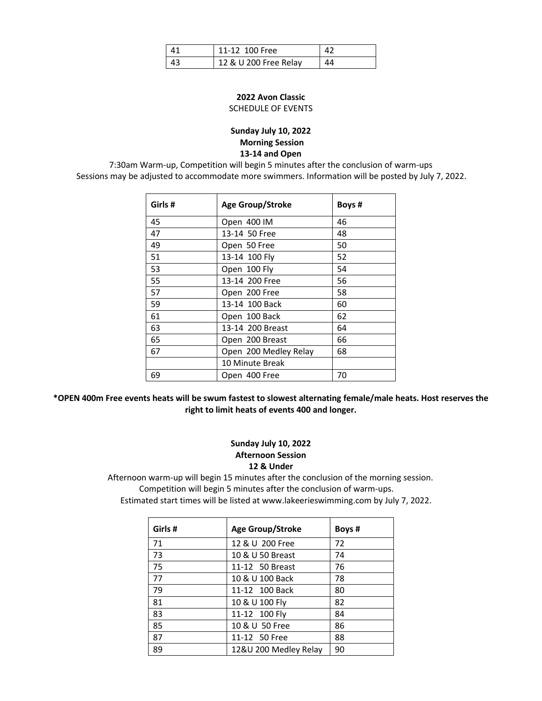| 11-12 100 Free        |  |
|-----------------------|--|
| 12 & U 200 Free Relay |  |

# **Avon Classic** SCHEDULE OF EVENTS

## **Sunday July 10, 2022 Morning Session 13-14 and Open**

7:30am Warm-up, Competition will begin 5 minutes after the conclusion of warm-ups Sessions may be adjusted to accommodate more swimmers. Information will be posted by July 7, 2022.

| <b>Age Group/Stroke</b> | Boys # |
|-------------------------|--------|
| Open 400 IM             | 46     |
| 13-14 50 Free           | 48     |
| Open 50 Free            | 50     |
| 13-14 100 Fly           | 52     |
| Open 100 Fly            | 54     |
| 13-14 200 Free          | 56     |
| Open 200 Free           | 58     |
| 13-14 100 Back          | 60     |
| Open 100 Back           | 62     |
| 13-14 200 Breast        | 64     |
| Open 200 Breast         | 66     |
| Open 200 Medley Relay   | 68     |
| 10 Minute Break         |        |
| Open 400 Free           | 70     |
|                         |        |

\*OPEN 400m Free events heats will be swum fastest to slowest alternating female/male heats. Host reserves the **right to limit heats of events 400 and longer.**

## **Sunday July 10, 2022 Afternoon Session & Under**

 Afternoon warm-up will begin 15 minutes after the conclusion of the morning session. Competition will begin 5 minutes after the conclusion of warm-ups. Estimated start times will be listed at www.lakeerieswimming.com by July 7, 2022.

| Girls# | <b>Age Group/Stroke</b> | Boys # |
|--------|-------------------------|--------|
| 71     | 12 & U 200 Free         | 72     |
| 73     | 10 & U 50 Breast        | 74     |
| 75     | 11-12 50 Breast         | 76     |
| 77     | 10 & U 100 Back         | 78     |
| 79     | 11-12 100 Back          | 80     |
| 81     | 10 & U 100 Fly          | 82     |
| 83     | 11-12 100 Fly           | 84     |
| 85     | 10 & U 50 Free          | 86     |
| 87     | 11-12 50 Free           | 88     |
| 89     | 12&U 200 Medley Relay   | 90     |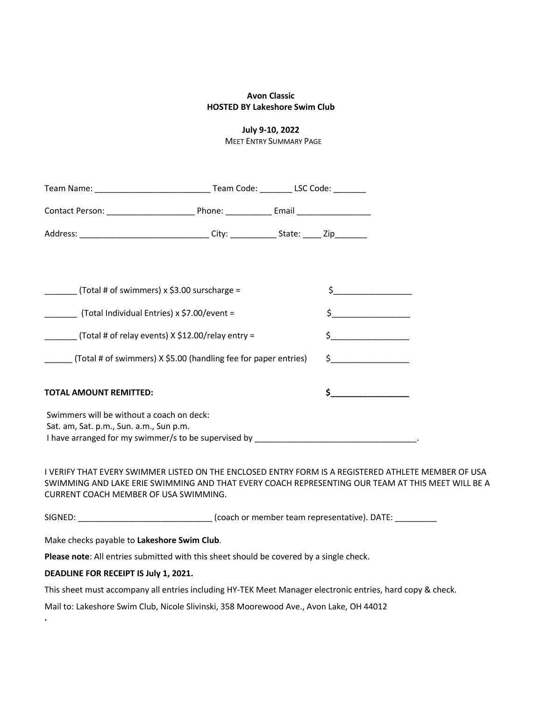## **Avon Classic HOSTED BY Lakeshore Swim Club**

# **July 9-10, 2022**

MEET ENTRY SUMMARY PAGE

| $\frac{1}{2}$ (Total # of swimmers) x \$3.00 surscharge =                            |                                                                                                                                                                                                          |                                    |  |
|--------------------------------------------------------------------------------------|----------------------------------------------------------------------------------------------------------------------------------------------------------------------------------------------------------|------------------------------------|--|
| __________ (Total Individual Entries) x \$7.00/event =                               |                                                                                                                                                                                                          | $\begin{array}{c} \xi \end{array}$ |  |
| $(Total # of relay events) X $12.00/relay entry =$                                   |                                                                                                                                                                                                          | $\frac{1}{2}$                      |  |
|                                                                                      | ______ (Total # of swimmers) X \$5.00 (handling fee for paper entries)                                                                                                                                   |                                    |  |
| <b>TOTAL AMOUNT REMITTED:</b>                                                        |                                                                                                                                                                                                          | $\sharp$                           |  |
| Swimmers will be without a coach on deck:<br>Sat. am, Sat. p.m., Sun. a.m., Sun p.m. |                                                                                                                                                                                                          |                                    |  |
| CURRENT COACH MEMBER OF USA SWIMMING.                                                | I VERIFY THAT EVERY SWIMMER LISTED ON THE ENCLOSED ENTRY FORM IS A REGISTERED ATHLETE MEMBER OF USA<br>SWIMMING AND LAKE ERIE SWIMMING AND THAT EVERY COACH REPRESENTING OUR TEAM AT THIS MEET WILL BE A |                                    |  |
|                                                                                      |                                                                                                                                                                                                          |                                    |  |
| Make checks payable to Lakeshore Swim Club.                                          |                                                                                                                                                                                                          |                                    |  |
|                                                                                      | Please note: All entries submitted with this sheet should be covered by a single check.                                                                                                                  |                                    |  |
| DEADLINE FOR RECEIPT IS July 1, 2021.                                                |                                                                                                                                                                                                          |                                    |  |
|                                                                                      | This sheet must accompany all entries including HY-TEK Meet Manager electronic entries, hard copy & check.                                                                                               |                                    |  |

Mail to: Lakeshore Swim Club, Nicole Slivinski, 358 Moorewood Ave., Avon Lake, OH 44012

**.**